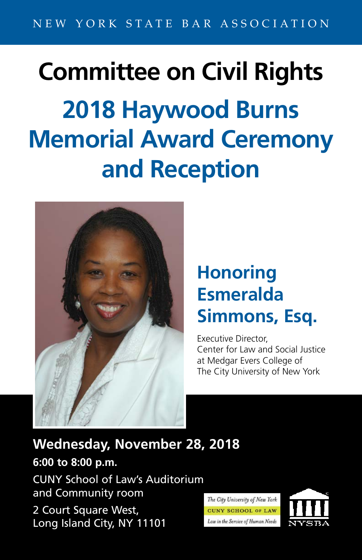## **Committee on Civil Rights 2018 Haywood Burns Memorial Award Ceremony and Reception**



## **Honoring Esmeralda Simmons, Esq.**

Executive Director, Center for Law and Social Justice at Medgar Evers College of The City University of New York

**Wednesday, November 28, 2018**

**6:00 to 8:00 p.m.** CUNY School of Law's Auditorium and Community room 2 Court Square West,

Long Island City, NY 11101